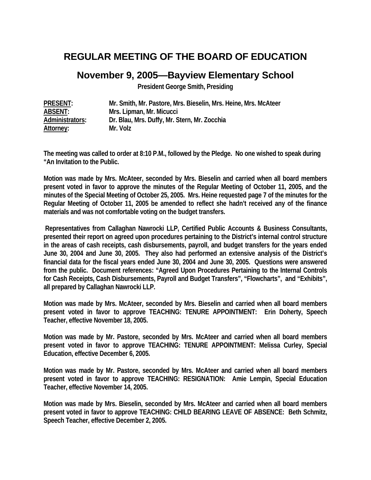# **REGULAR MEETING OF THE BOARD OF EDUCATION**

## **November 9, 2005—Bayview Elementary School**

**President George Smith, Presiding** 

| <b>PRESENT:</b> | Mr. Smith, Mr. Pastore, Mrs. Bieselin, Mrs. Heine, Mrs. McAteer |
|-----------------|-----------------------------------------------------------------|
| ABSENT:         | Mrs. Lipman, Mr. Micucci                                        |
| Administrators: | Dr. Blau, Mrs. Duffy, Mr. Stern, Mr. Zocchia                    |
| Attorney:       | Mr. Volz                                                        |

**The meeting was called to order at 8:10 P.M., followed by the Pledge. No one wished to speak during "An Invitation to the Public.** 

**Motion was made by Mrs. McAteer, seconded by Mrs. Bieselin and carried when all board members present voted in favor to approve the minutes of the Regular Meeting of October 11, 2005, and the minutes of the Special Meeting of October 25, 2005. Mrs. Heine requested page 7 of the minutes for the Regular Meeting of October 11, 2005 be amended to reflect she hadn't received any of the finance materials and was not comfortable voting on the budget transfers.** 

 **Representatives from Callaghan Nawrocki LLP, Certified Public Accounts & Business Consultants, presented their report on agreed upon procedures pertaining to the District's internal control structure in the areas of cash receipts, cash disbursements, payroll, and budget transfers for the years ended June 30, 2004 and June 30, 2005. They also had performed an extensive analysis of the District's financial data for the fiscal years ended June 30, 2004 and June 30, 2005. Questions were answered from the public. Document references: "Agreed Upon Procedures Pertaining to the Internal Controls for Cash Receipts, Cash Disbursements, Payroll and Budget Transfers", "Flowcharts", and "Exhibits", all prepared by Callaghan Nawrocki LLP.** 

**Motion was made by Mrs. McAteer, seconded by Mrs. Bieselin and carried when all board members present voted in favor to approve TEACHING: TENURE APPOINTMENT: Erin Doherty, Speech Teacher, effective November 18, 2005.** 

**Motion was made by Mr. Pastore, seconded by Mrs. McAteer and carried when all board members present voted in favor to approve TEACHING: TENURE APPOINTMENT: Melissa Curley, Special Education, effective December 6, 2005.** 

**Motion was made by Mr. Pastore, seconded by Mrs. McAteer and carried when all board members present voted in favor to approve TEACHING: RESIGNATION: Amie Lempin, Special Education Teacher, effective November 14, 2005.** 

**Motion was made by Mrs. Bieselin, seconded by Mrs. McAteer and carried when all board members present voted in favor to approve TEACHING: CHILD BEARING LEAVE OF ABSENCE: Beth Schmitz, Speech Teacher, effective December 2, 2005.**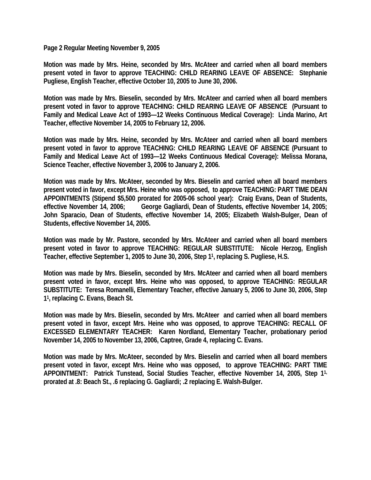**Page 2 Regular Meeting November 9, 2005** 

**Motion was made by Mrs. Heine, seconded by Mrs. McAteer and carried when all board members present voted in favor to approve TEACHING: CHILD REARING LEAVE OF ABSENCE: Stephanie Pugliese, English Teacher, effective October 10, 2005 to June 30, 2006.** 

**Motion was made by Mrs. Bieselin, seconded by Mrs. McAteer and carried when all board members present voted in favor to approve TEACHING: CHILD REARING LEAVE OF ABSENCE (Pursuant to Family and Medical Leave Act of 1993—12 Weeks Continuous Medical Coverage): Linda Marino, Art Teacher, effective November 14, 2005 to February 12, 2006.** 

**Motion was made by Mrs. Heine, seconded by Mrs. McAteer and carried when all board members present voted in favor to approve TEACHING: CHILD REARING LEAVE OF ABSENCE (Pursuant to Family and Medical Leave Act of 1993—12 Weeks Continuous Medical Coverage): Melissa Morana, Science Teacher, effective November 3, 2006 to January 2, 2006.** 

**Motion was made by Mrs. McAteer, seconded by Mrs. Bieselin and carried when all board members present voted in favor, except Mrs. Heine who was opposed, to approve TEACHING: PART TIME DEAN APPOINTMENTS (Stipend \$5,500 prorated for 2005-06 school year): Craig Evans, Dean of Students,**  effective November 14, 2006; George Gagliardi, Dean of Students, effective November 14, 2005; **John Sparacio, Dean of Students, effective November 14, 2005; Elizabeth Walsh-Bulger, Dean of Students, effective November 14, 2005.** 

**Motion was made by Mr. Pastore, seconded by Mrs. McAteer and carried when all board members present voted in favor to approve TEACHING: REGULAR SUBSTITUTE: Nicole Herzog, English Teacher, effective September 1, 2005 to June 30, 2006, Step 11, replacing S. Pugliese, H.S.** 

**Motion was made by Mrs. Bieselin, seconded by Mrs. McAteer and carried when all board members present voted in favor, except Mrs. Heine who was opposed, to approve TEACHING: REGULAR SUBSTITUTE: Teresa Romanelli, Elementary Teacher, effective January 5, 2006 to June 30, 2006, Step 11, replacing C. Evans, Beach St.** 

**Motion was made by Mrs. Bieselin, seconded by Mrs. McAteer and carried when all board members present voted in favor, except Mrs. Heine who was opposed, to approve TEACHING: RECALL OF EXCESSED ELEMENTARY TEACHER: Karen Nordland, Elementary Teacher, probationary period November 14, 2005 to November 13, 2006, Captree, Grade 4, replacing C. Evans.** 

**Motion was made by Mrs. McAteer, seconded by Mrs. Bieselin and carried when all board members present voted in favor, except Mrs. Heine who was opposed, to approve TEACHING: PART TIME APPOINTMENT: Patrick Tunstead, Social Studies Teacher, effective November 14, 2005, Step 11, prorated at .8: Beach St., .6 replacing G. Gagliardi; .2 replacing E. Walsh-Bulger.**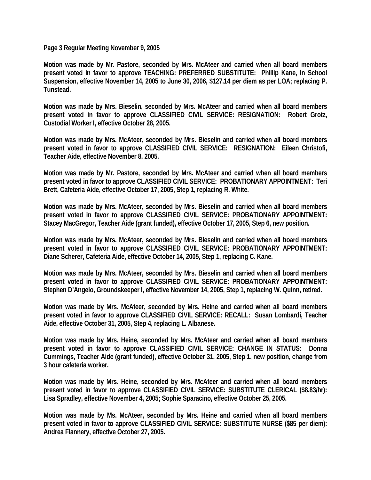**Page 3 Regular Meeting November 9, 2005** 

**Motion was made by Mr. Pastore, seconded by Mrs. McAteer and carried when all board members present voted in favor to approve TEACHING: PREFERRED SUBSTITUTE: Phillip Kane, In School Suspension, effective November 14, 2005 to June 30, 2006, \$127.14 per diem as per LOA; replacing P. Tunstead.** 

**Motion was made by Mrs. Bieselin, seconded by Mrs. McAteer and carried when all board members present voted in favor to approve CLASSIFIED CIVIL SERVICE: RESIGNATION: Robert Grotz, Custodial Worker I, effective October 28, 2005.** 

**Motion was made by Mrs. McAteer, seconded by Mrs. Bieselin and carried when all board members present voted in favor to approve CLASSIFIED CIVIL SERVICE: RESIGNATION: Eileen Christofi, Teacher Aide, effective November 8, 2005.** 

**Motion was made by Mr. Pastore, seconded by Mrs. McAteer and carried when all board members present voted in favor to approve CLASSIFIED CIVIL SERVICE: PROBATIONARY APPOINTMENT: Teri Brett, Cafeteria Aide, effective October 17, 2005, Step 1, replacing R. White.** 

**Motion was made by Mrs. McAteer, seconded by Mrs. Bieselin and carried when all board members present voted in favor to approve CLASSIFIED CIVIL SERVICE: PROBATIONARY APPOINTMENT: Stacey MacGregor, Teacher Aide (grant funded), effective October 17, 2005, Step 6, new position.** 

**Motion was made by Mrs. McAteer, seconded by Mrs. Bieselin and carried when all board members present voted in favor to approve CLASSIFIED CIVIL SERVICE: PROBATIONARY APPOINTMENT: Diane Scherer, Cafeteria Aide, effective October 14, 2005, Step 1, replacing C. Kane.** 

**Motion was made by Mrs. McAteer, seconded by Mrs. Bieselin and carried when all board members present voted in favor to approve CLASSIFIED CIVIL SERVICE: PROBATIONARY APPOINTMENT: Stephen D'Angelo, Groundskeeper I, effective November 14, 2005, Step 1, replacing W. Quinn, retired.** 

**Motion was made by Mrs. McAteer, seconded by Mrs. Heine and carried when all board members present voted in favor to approve CLASSIFIED CIVIL SERVICE: RECALL: Susan Lombardi, Teacher Aide, effective October 31, 2005, Step 4, replacing L. Albanese.** 

**Motion was made by Mrs. Heine, seconded by Mrs. McAteer and carried when all board members present voted in favor to approve CLASSIFIED CIVIL SERVICE: CHANGE IN STATUS: Donna Cummings, Teacher Aide (grant funded), effective October 31, 2005, Step 1, new position, change from 3 hour cafeteria worker.** 

**Motion was made by Mrs. Heine, seconded by Mrs. McAteer and carried when all board members present voted in favor to approve CLASSIFIED CIVIL SERVICE: SUBSTITUTE CLERICAL (\$8.83/hr): Lisa Spradley, effective November 4, 2005; Sophie Sparacino, effective October 25, 2005.** 

**Motion was made by Ms. McAteer, seconded by Mrs. Heine and carried when all board members present voted in favor to approve CLASSIFIED CIVIL SERVICE: SUBSTITUTE NURSE (\$85 per diem): Andrea Flannery, effective October 27, 2005.**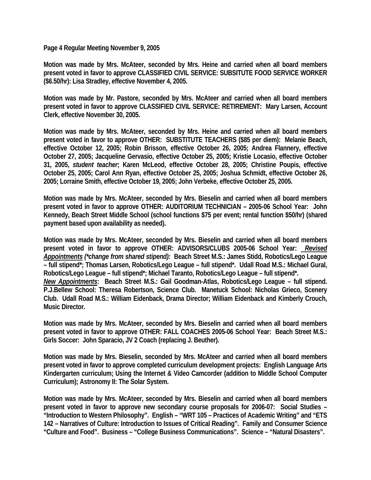**Page 4 Regular Meeting November 9, 2005** 

**Motion was made by Mrs. McAteer, seconded by Mrs. Heine and carried when all board members present voted in favor to approve CLASSIFIED CIVIL SERVICE: SUBSITUTE FOOD SERVICE WORKER (\$6.50/hr): Lisa Stradley, effective November 4, 2005.** 

**Motion was made by Mr. Pastore, seconded by Mrs. McAteer and carried when all board members present voted in favor to approve CLASSIFIED CIVIL SERVICE: RETIREMENT: Mary Larsen, Account Clerk, effective November 30, 2005.** 

**Motion was made by Mrs. McAteer, seconded by Mrs. Heine and carried when all board members present voted in favor to approve OTHER: SUBSTITUTE TEACHERS (\$85 per diem): Melanie Beach, effective October 12, 2005; Robin Brisson, effective October 26, 2005; Andrea Flannery, effective October 27, 2005; Jacqueline Gervasio, effective October 25, 2005; Kristie Locasio, effective October 31, 2005,** *student teacher***; Karen McLeod, effective October 28, 2005; Christine Poupis, effective October 25, 2005; Carol Ann Ryan, effective October 25, 2005; Joshua Schmidt, effective October 26, 2005; Lorraine Smith, effective October 19, 2005; John Verbeke, effective October 25, 2005.** 

**Motion was made by Mrs. McAteer, seconded by Mrs. Bieselin and carried when all board members present voted in favor to approve OTHER: AUDITORIUM TECHNICIAN – 2005-06 School Year: John Kennedy, Beach Street Middle School (school functions \$75 per event; rental function \$50/hr) (shared payment based upon availability as needed).** 

**Motion was made by Mrs. McAteer, seconded by Mrs. Bieselin and carried when all board members present voted in favor to approve OTHER: ADVISORS/CLUBS 2005-06 School Year:** *Revised Appointments (\*change from shared stipend):* **Beach Street M.S.: James Stidd, Robotics/Lego League – full stipend\*; Thomas Larsen, Robotics/Lego League – full stipend\*. Udall Road M.S.: Michael Gural, Robotics/Lego League – full stipend\*; Michael Taranto, Robotics/Lego League – full stipend\*.**  *New Appointments***: Beach Street M.S.: Gail Goodman-Atlas, Robotics/Lego League – full stipend. P.J.Bellew School: Theresa Robertson, Science Club. Manetuck School: Nicholas Grieco, Scenery Club. Udall Road M.S.: William Eidenback, Drama Director; William Eidenback and Kimberly Crouch, Music Director.** 

**Motion was made by Mrs. McAteer, seconded by Mrs. Bieselin and carried when all board members present voted in favor to approve OTHER: FALL COACHES 2005-06 School Year: Beach Street M.S.: Girls Soccer: John Sparacio, JV 2 Coach (replacing J. Beuther).** 

**Motion was made by Mrs. Bieselin, seconded by Mrs. McAteer and carried when all board members present voted in favor to approve completed curriculum development projects: English Language Arts Kindergarten curriculum; Using the Internet & Video Camcorder (addition to Middle School Computer Curriculum); Astronomy II: The Solar System.** 

**Motion was made by Mrs. McAteer, seconded by Mrs. Bieselin and carried when all board members present voted in favor to approve new secondary course proposals for 2006-07: Social Studies – "Introduction to Western Philosophy". English – "WRT 105 – Practices of Academic Writing" and "ETS 142 – Narratives of Culture: Introduction to Issues of Critical Reading". Family and Consumer Science "Culture and Food". Business – "College Business Communications". Science – "Natural Disasters".**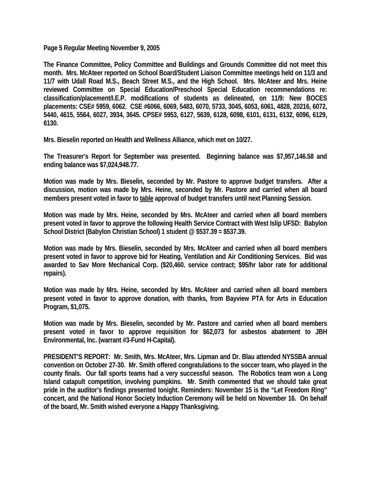**Page 5 Regular Meeting November 9, 2005** 

**The Finance Committee, Policy Committee and Buildings and Grounds Committee did not meet this month. Mrs. McAteer reported on School Board/Student Liaison Committee meetings held on 11/3 and 11/7 with Udall Road M.S., Beach Street M.S., and the High School. Mrs. McAteer and Mrs. Heine reviewed Committee on Special Education/Preschool Special Education recommendations re: classification/placement/I.E.P. modifications of students as delineated, on 11/9: New BOCES placements: CSE# 5959, 6062. CSE #6066, 6069, 5483, 6070, 5733, 3045, 6053, 6061, 4828, 20216, 6072, 5440, 4615, 5564, 6027, 3934, 3645. CPSE# 5953, 6127, 5639, 6128, 6098, 6101, 6131, 6132, 6096, 6129, 6130.** 

**Mrs. Bieselin reported on Health and Wellness Alliance, which met on 10/27.** 

**The Treasurer's Report for September was presented. Beginning balance was \$7,957,146.58 and ending balance was \$7,024,948.77.** 

**Motion was made by Mrs. Bieselin, seconded by Mr. Pastore to approve budget transfers. After a discussion, motion was made by Mrs. Heine, seconded by Mr. Pastore and carried when all board members present voted in favor to table approval of budget transfers until next Planning Session.** 

**Motion was made by Mrs. Heine, seconded by Mrs. McAteer and carried when all board members present voted in favor to approve the following Health Service Contract with West Islip UFSD: Babylon School District (Babylon Christian School) 1 student @ \$537.39 = \$537.39.** 

**Motion was made by Mrs. Bieselin, seconded by Mrs. McAteer and carried when all board members present voted in favor to approve bid for Heating, Ventilation and Air Conditioning Services. Bid was awarded to Sav More Mechanical Corp. (\$20,460. service contract; \$95/hr labor rate for additional repairs).** 

**Motion was made by Mrs. Heine, seconded by Mrs. McAteer and carried when all board members present voted in favor to approve donation, with thanks, from Bayview PTA for Arts in Education Program, \$1,075.** 

**Motion was made by Mrs. Bieselin, seconded by Mr. Pastore and carried when all board members present voted in favor to approve requisition for \$62,073 for asbestos abatement to JBH Environmental, Inc. (warrant #3-Fund H-Capital).** 

**PRESIDENT'S REPORT: Mr. Smith, Mrs. McAteer, Mrs. Lipman and Dr. Blau attended NYSSBA annual convention on October 27-30. Mr. Smith offered congratulations to the soccer team, who played in the county finals. Our fall sports teams had a very successful season. The Robotics team won a Long Island catapult competition, involving pumpkins. Mr. Smith commented that we should take great pride in the auditor's findings presented tonight. Reminders: November 15 is the "Let Freedom Ring" concert, and the National Honor Society Induction Ceremony will be held on November 16. On behalf of the board, Mr. Smith wished everyone a Happy Thanksgiving.**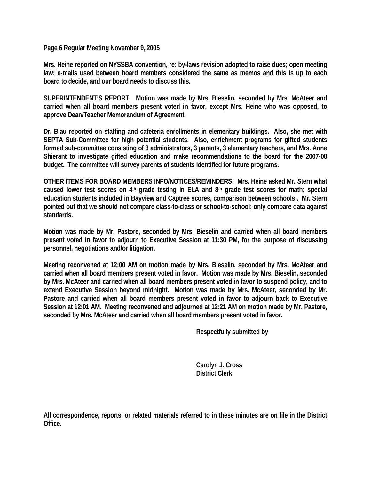**Page 6 Regular Meeting November 9, 2005** 

**Mrs. Heine reported on NYSSBA convention, re: by-laws revision adopted to raise dues; open meeting law; e-mails used between board members considered the same as memos and this is up to each board to decide, and our board needs to discuss this.** 

**SUPERINTENDENT'S REPORT: Motion was made by Mrs. Bieselin, seconded by Mrs. McAteer and carried when all board members present voted in favor, except Mrs. Heine who was opposed, to approve Dean/Teacher Memorandum of Agreement.** 

**Dr. Blau reported on staffing and cafeteria enrollments in elementary buildings. Also, she met with SEPTA Sub-Committee for high potential students. Also, enrichment programs for gifted students formed sub-committee consisting of 3 administrators, 3 parents, 3 elementary teachers, and Mrs. Anne Shierant to investigate gifted education and make recommendations to the board for the 2007-08 budget. The committee will survey parents of students identified for future programs.** 

**OTHER ITEMS FOR BOARD MEMBERS INFO/NOTICES/REMINDERS: Mrs. Heine asked Mr. Stern what caused lower test scores on 4th grade testing in ELA and 8th grade test scores for math; special education students included in Bayview and Captree scores, comparison between schools . Mr. Stern pointed out that we should not compare class-to-class or school-to-school; only compare data against standards.** 

**Motion was made by Mr. Pastore, seconded by Mrs. Bieselin and carried when all board members present voted in favor to adjourn to Executive Session at 11:30 PM, for the purpose of discussing personnel, negotiations and/or litigation.** 

**Meeting reconvened at 12:00 AM on motion made by Mrs. Bieselin, seconded by Mrs. McAteer and carried when all board members present voted in favor. Motion was made by Mrs. Bieselin, seconded by Mrs. McAteer and carried when all board members present voted in favor to suspend policy, and to extend Executive Session beyond midnight. Motion was made by Mrs. McAteer, seconded by Mr. Pastore and carried when all board members present voted in favor to adjourn back to Executive Session at 12:01 AM. Meeting reconvened and adjourned at 12:21 AM on motion made by Mr. Pastore, seconded by Mrs. McAteer and carried when all board members present voted in favor.** 

 **Respectfully submitted by** 

 **Carolyn J. Cross District Clerk** 

**All correspondence, reports, or related materials referred to in these minutes are on file in the District Office.**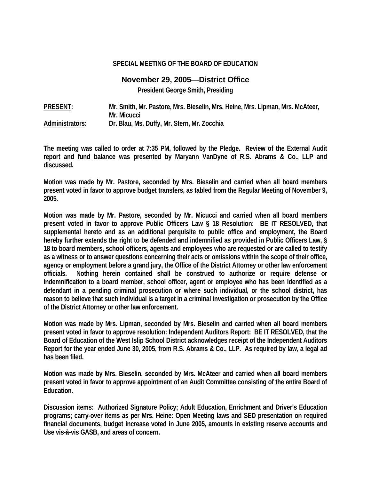#### **SPECIAL MEETING OF THE BOARD OF EDUCATION**

### **November 29, 2005—District Office**

**President George Smith, Presiding** 

**PRESENT: Mr. Smith, Mr. Pastore, Mrs. Bieselin, Mrs. Heine, Mrs. Lipman, Mrs. McAteer, Mr. Micucci Administrators: Dr. Blau, Ms. Duffy, Mr. Stern, Mr. Zocchia** 

**The meeting was called to order at 7:35 PM, followed by the Pledge. Review of the External Audit report and fund balance was presented by Maryann VanDyne of R.S. Abrams & Co., LLP and discussed.** 

**Motion was made by Mr. Pastore, seconded by Mrs. Bieselin and carried when all board members present voted in favor to approve budget transfers, as tabled from the Regular Meeting of November 9, 2005.** 

**Motion was made by Mr. Pastore, seconded by Mr. Micucci and carried when all board members present voted in favor to approve Public Officers Law § 18 Resolution: BE IT RESOLVED, that supplemental hereto and as an additional perquisite to public office and employment, the Board hereby further extends the right to be defended and indemnified as provided in Public Officers Law, § 18 to board members, school officers, agents and employees who are requested or are called to testify as a witness or to answer questions concerning their acts or omissions within the scope of their office, agency or employment before a grand jury, the Office of the District Attorney or other law enforcement officials. Nothing herein contained shall be construed to authorize or require defense or indemnification to a board member, school officer, agent or employee who has been identified as a defendant in a pending criminal prosecution or where such individual, or the school district, has reason to believe that such individual is a target in a criminal investigation or prosecution by the Office of the District Attorney or other law enforcement.** 

**Motion was made by Mrs. Lipman, seconded by Mrs. Bieselin and carried when all board members present voted in favor to approve resolution: Independent Auditors Report: BE IT RESOLVED, that the Board of Education of the West Islip School District acknowledges receipt of the Independent Auditors Report for the year ended June 30, 2005, from R.S. Abrams & Co., LLP. As required by law, a legal ad has been filed.** 

**Motion was made by Mrs. Bieselin, seconded by Mrs. McAteer and carried when all board members present voted in favor to approve appointment of an Audit Committee consisting of the entire Board of Education.** 

**Discussion items: Authorized Signature Policy; Adult Education, Enrichment and Driver's Education programs; carry-over items as per Mrs. Heine: Open Meeting laws and SED presentation on required financial documents, budget increase voted in June 2005, amounts in existing reserve accounts and Use vis-à-vis GASB, and areas of concern.**